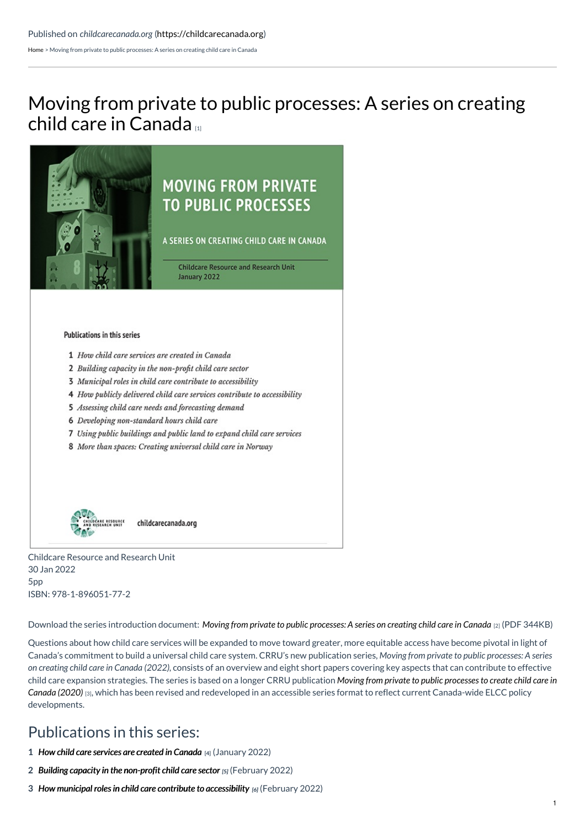[Home](https://childcarecanada.org/) > Moving from private to public processes: A series on creating child care in Canada

# Moving from private to public [processes:](https://childcarecanada.org/publications/other-publications/22/01/moving-private-public-processes-series-creating-child-care) A series on creating child care in Canada



## **MOVING FROM PRIVATE TO PUBLIC PROCESSES**

A SERIES ON CREATING CHILD CARE IN CANADA

**Childcare Resource and Research Unit** January 2022

### **Publications in this series**

- 1 How child care services are created in Canada
- 2 Building capacity in the non-profit child care sector
- 3 Municipal roles in child care contribute to accessibility
- 4 How publicly delivered child care services contribute to accessibility
- 5 Assessing child care needs and forecasting demand
- 6 Developing non-standard hours child care
- 7 Using public buildings and public land to expand child care services
- 8 More than spaces: Creating universal child care in Norway



Childcare Resource and Research Unit 30 Jan 2022 5pp ISBN: 978-1-896051-77-2

Download the series introduction document: Moving from private to public [processes:](https://childcarecanada.org/sites/default/files/Moving-private-to-public-child-care-series-overview_0.pdf) A series on creating child care in Canada [2] (PDF 344KB)

Questions about how child care services will be expanded to move toward greater, more equitable access have become pivotal in light of Canada's commitment to build a universal child care system. CRRU's new publication series, *Moving from private to public processes: A series on creating child care in Canada (2022)*, consists of an overview and eight short papers covering key aspects that can contribute to effective child care expansion strategies. The series is based on a longer CRRU publication *Moving from private to public processes to create child care in Canada (2020)* [3], which has been revised and redeveloped in an accessible series format to reflect current [Canada-wide](https://childcarecanada.org/publications/other-publications/20/12/moving-private-public-processes-create-child-care-canada) ELCC policy developments.

## Publications in this series:

- **1** *How child care [services](https://childcarecanada.org/publications/other-publications/22/01/how-child-care-services-are-created-canada) are created in Canada* **[4]** (January 2022)
- **2** *Building capacity in the [non-profit](https://childcarecanada.org/publications/other-publications/22/02/building-capacity-non-profit-child-care-sector) child care sector [5]* (February 2022)
- **3** *How municipal roles in child care contribute to [accessibility](https://childcarecanada.org/publications/other-publications/22/02/how-municipal-roles-child-care-contribute-accessibility) [6]* (February 2022)